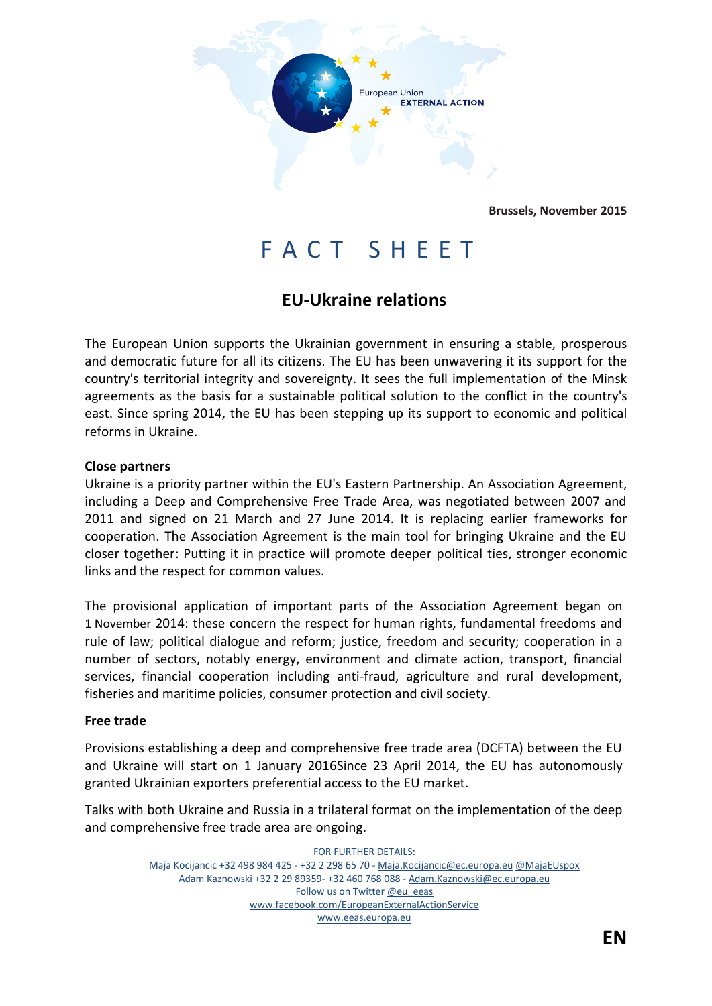

**Brussels, November 2015**

# F A C T S H E E T

# **EU-Ukraine relations**

The European Union supports the Ukrainian government in ensuring a stable, prosperous and democratic future for all its citizens. The EU has been unwavering it its support for the country's territorial integrity and sovereignty. It sees the full implementation of the Minsk agreements as the basis for a sustainable political solution to the conflict in the country's east. Since spring 2014, the EU has been stepping up its support to economic and political reforms in Ukraine.

#### **Close partners**

Ukraine is a priority partner within the EU's Eastern Partnership. An Association Agreement, including a Deep and Comprehensive Free Trade Area, was negotiated between 2007 and 2011 and signed on 21 March and 27 June 2014. It is replacing earlier frameworks for cooperation. The Association Agreement is the main tool for bringing Ukraine and the EU closer together: Putting it in practice will promote deeper political ties, stronger economic links and the respect for common values.

The provisional application of important parts of the Association Agreement began on 1 November 2014: these concern the respect for human rights, fundamental freedoms and rule of law; political dialogue and reform; justice, freedom and security; cooperation in a number of sectors, notably energy, environment and climate action, transport, financial services, financial cooperation including anti-fraud, agriculture and rural development, fisheries and maritime policies, consumer protection and civil society.

#### **Free trade**

Provisions establishing a deep and comprehensive free trade area (DCFTA) between the EU and Ukraine will start on 1 January 2016Since 23 April 2014, the EU has autonomously granted Ukrainian exporters preferential access to the EU market.

Talks with both Ukraine and Russia in a trilateral format on the implementation of the deep and comprehensive free trade area are ongoing.

> FOR FURTHER DETAILS: Maja Kocijancic +32 498 984 425 - +32 2 298 65 70 - [Maja.Kocijancic@ec.europa.eu](file:///C:/Users/prended/AppData/Local/Microsoft/Windows/Temporary%20Internet%20Files/AppData/Local/Microsoft/Windows/Temporary%20Internet%20Files/AppData/Local/Microsoft/Windows/smerial/AppData/Local/Microsoft/Windows/Temporary%20Internet%20Files/AppData/Local/Microsoft/Windows/lievrde/AppData/Local/Microsoft/Windows/Temporary%20Internet%20Files/Content.Outlook/B3E41T5W/Maja.Kocijancic@ec.europa.eu) [@MajaEUspox](https://twitter.com/MajaEUspox) Adam Kaznowski +32 2 29 89359- +32 460 768 088 - [Adam.Kaznowski@ec.europa.eu](mailto:Eamonn.Prendergast@ec.europa.eu) Follow us on Twitter [@eu\\_eeas](https://twitter.com/eu_eeas) [www.facebook.com/EuropeanExternalActionService](http://www.facebook.com/EuropeanExternalActionService) [www.eeas.europa.eu](file:///C:/Users/prended/AppData/Local/Microsoft/Windows/Temporary%20Internet%20Files/AppData/Local/Microsoft/Windows/Temporary%20Internet%20Files/AppData/Local/Microsoft/Windows/smerial/AppData/Local/Microsoft/Windows/Temporary%20Internet%20Files/AppData/Local/Microsoft/Windows/lievrde/AppData/Local/Microsoft/Windows/Temporary%20Internet%20Files/Content.Outlook/B3E41T5W/www.eeas.europa.eu)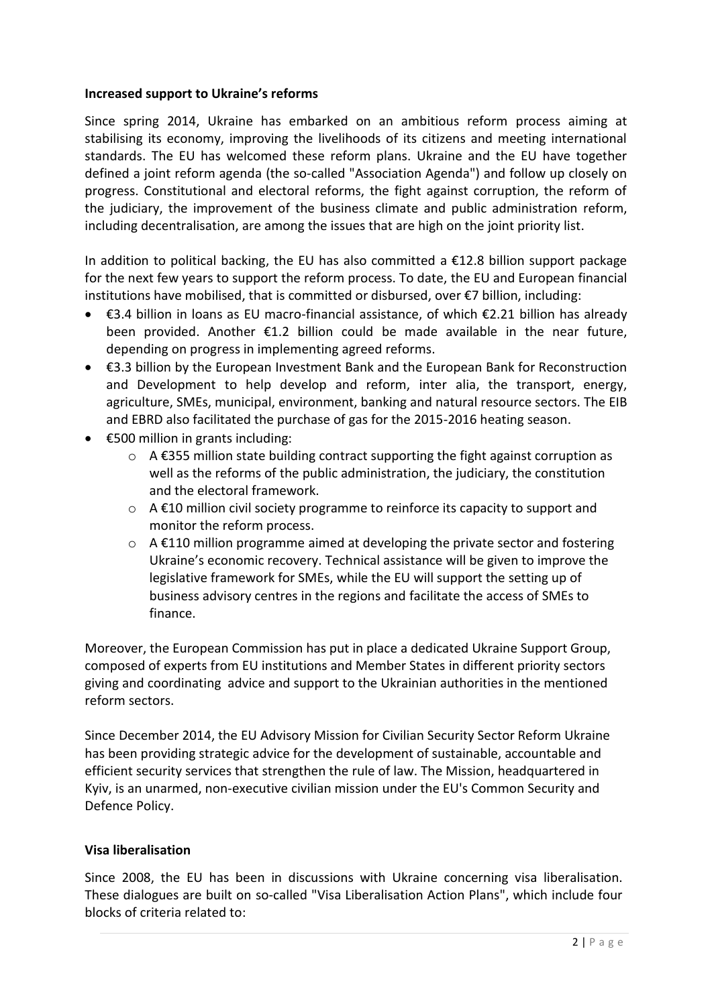#### **Increased support to Ukraine's reforms**

Since spring 2014, Ukraine has embarked on an ambitious reform process aiming at stabilising its economy, improving the livelihoods of its citizens and meeting international standards. The EU has welcomed these reform plans. Ukraine and the EU have together defined a joint reform agenda (the so-called "Association Agenda") and follow up closely on progress. Constitutional and electoral reforms, the fight against corruption, the reform of the judiciary, the improvement of the business climate and public administration reform, including decentralisation, are among the issues that are high on the joint priority list.

In addition to political backing, the EU has also committed a  $E12.8$  billion support package for the next few years to support the reform process. To date, the EU and European financial institutions have mobilised, that is committed or disbursed, over €7 billion, including:

- €3.4 billion in loans as EU macro-financial assistance, of which €2.21 billion has already been provided. Another  $\epsilon$ 1.2 billion could be made available in the near future, depending on progress in implementing agreed reforms.
- €3.3 billion by the European Investment Bank and the European Bank for Reconstruction and Development to help develop and reform, inter alia, the transport, energy, agriculture, SMEs, municipal, environment, banking and natural resource sectors. The EIB and EBRD also facilitated the purchase of gas for the 2015-2016 heating season.
- €500 million in grants including:
	- $\circ$  A €355 million state building contract supporting the fight against corruption as well as the reforms of the public administration, the judiciary, the constitution and the electoral framework.
	- o A €10 million civil society programme to reinforce its capacity to support and monitor the reform process.
	- $\circ$  A  $\epsilon$ 110 million programme aimed at developing the private sector and fostering Ukraine's economic recovery. Technical assistance will be given to improve the legislative framework for SMEs, while the EU will support the setting up of business advisory centres in the regions and facilitate the access of SMEs to finance.

Moreover, the European Commission has put in place a dedicated Ukraine Support Group, composed of experts from EU institutions and Member States in different priority sectors giving and coordinating advice and support to the Ukrainian authorities in the mentioned reform sectors.

Since December 2014, the EU Advisory Mission for Civilian Security Sector Reform Ukraine has been providing strategic advice for the development of sustainable, accountable and efficient security services that strengthen the rule of law. The Mission, headquartered in Kyiv, is an unarmed, non-executive civilian mission under the EU's Common Security and Defence Policy.

# **Visa liberalisation**

Since 2008, the EU has been in discussions with Ukraine concerning visa liberalisation. These dialogues are built on so-called "Visa Liberalisation Action Plans", which include four blocks of criteria related to: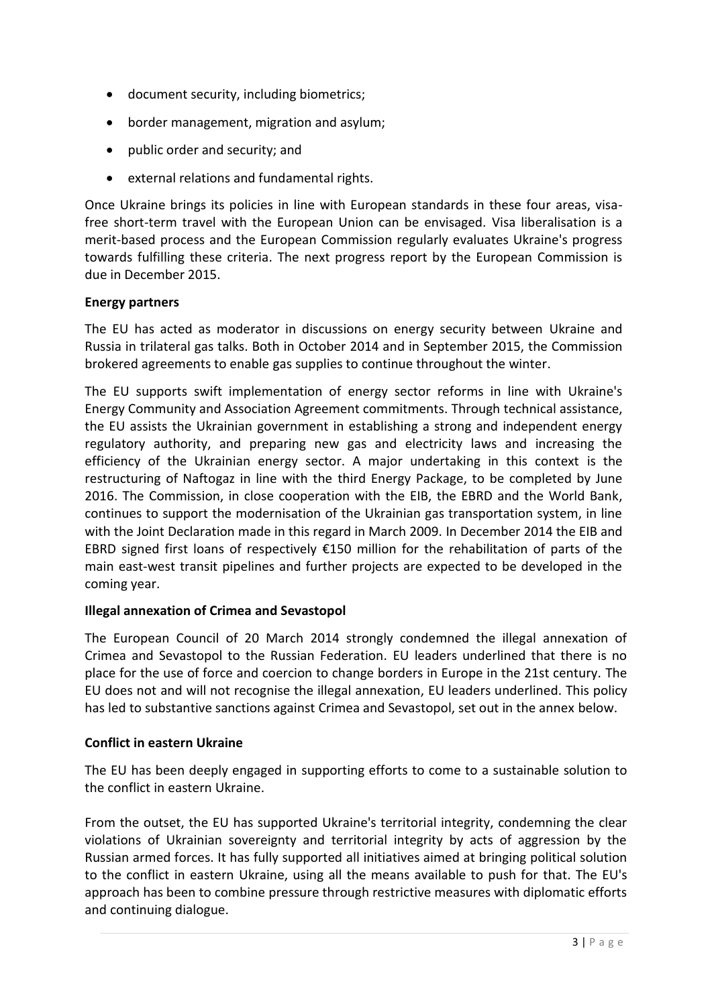- document security, including biometrics;
- border management, migration and asylum;
- public order and security; and
- external relations and fundamental rights.

Once Ukraine brings its policies in line with European standards in these four areas, visafree short-term travel with the European Union can be envisaged. Visa liberalisation is a merit-based process and the European Commission regularly evaluates Ukraine's progress towards fulfilling these criteria. The next progress report by the European Commission is due in December 2015.

### **Energy partners**

The EU has acted as moderator in discussions on energy security between Ukraine and Russia in trilateral gas talks. Both in October 2014 and in September 2015, the Commission brokered agreements to enable gas supplies to continue throughout the winter.

The EU supports swift implementation of energy sector reforms in line with Ukraine's Energy Community and Association Agreement commitments. Through technical assistance, the EU assists the Ukrainian government in establishing a strong and independent energy regulatory authority, and preparing new gas and electricity laws and increasing the efficiency of the Ukrainian energy sector. A major undertaking in this context is the restructuring of Naftogaz in line with the third Energy Package, to be completed by June 2016. The Commission, in close cooperation with the EIB, the EBRD and the World Bank, continues to support the modernisation of the Ukrainian gas transportation system, in line with the Joint Declaration made in this regard in March 2009. In December 2014 the EIB and EBRD signed first loans of respectively  $£150$  million for the rehabilitation of parts of the main east-west transit pipelines and further projects are expected to be developed in the coming year.

# **Illegal annexation of Crimea and Sevastopol**

The European Council of 20 March 2014 strongly condemned the illegal annexation of Crimea and Sevastopol to the Russian Federation. EU leaders underlined that there is no place for the use of force and coercion to change borders in Europe in the 21st century. The EU does not and will not recognise the illegal annexation, EU leaders underlined. This policy has led to substantive sanctions against Crimea and Sevastopol, set out in the annex below.

# **Conflict in eastern Ukraine**

The EU has been deeply engaged in supporting efforts to come to a sustainable solution to the conflict in eastern Ukraine.

From the outset, the EU has supported Ukraine's territorial integrity, condemning the clear violations of Ukrainian sovereignty and territorial integrity by acts of aggression by the Russian armed forces. It has fully supported all initiatives aimed at bringing political solution to the conflict in eastern Ukraine, using all the means available to push for that. The EU's approach has been to combine pressure through restrictive measures with diplomatic efforts and continuing dialogue.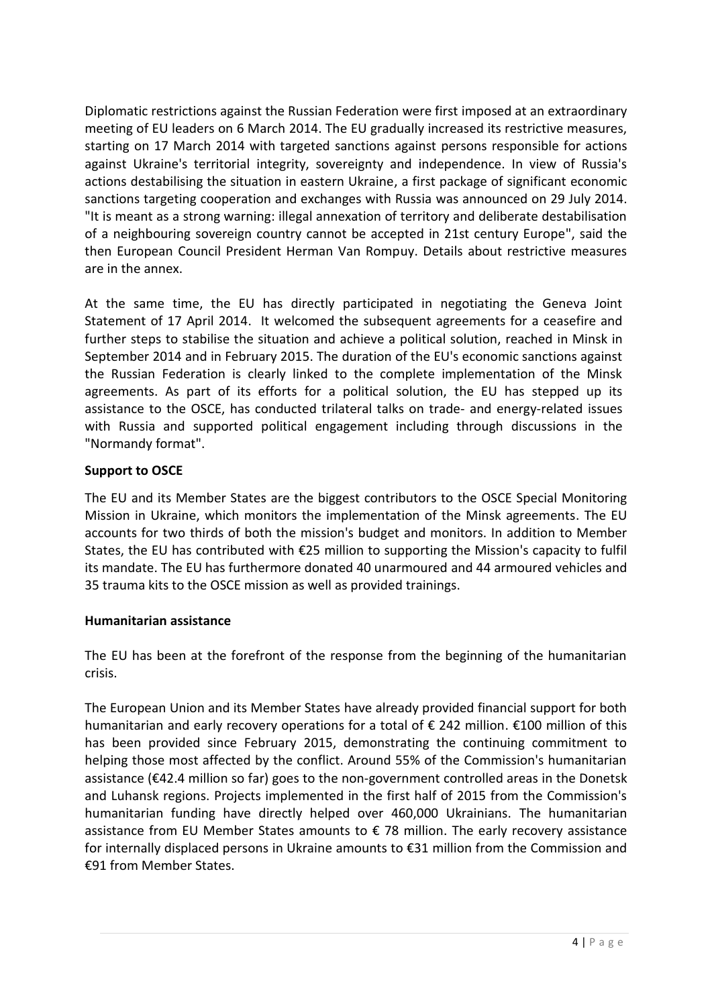Diplomatic restrictions against the Russian Federation were first imposed at an extraordinary meeting of EU leaders on 6 March 2014. The EU gradually increased its restrictive measures, starting on 17 March 2014 with targeted sanctions against persons responsible for actions against Ukraine's territorial integrity, sovereignty and independence. In view of Russia's actions destabilising the situation in eastern Ukraine, a first package of significant economic sanctions targeting cooperation and exchanges with Russia was announced on 29 July 2014. "It is meant as a strong warning: illegal annexation of territory and deliberate destabilisation of a neighbouring sovereign country cannot be accepted in 21st century Europe", said the then European Council President Herman Van Rompuy. Details about restrictive measures are in the annex.

At the same time, the EU has directly participated in negotiating the Geneva Joint Statement of 17 April 2014. It welcomed the subsequent agreements for a ceasefire and further steps to stabilise the situation and achieve a political solution, reached in Minsk in September 2014 and in February 2015. The duration of the EU's economic sanctions against the Russian Federation is clearly linked to the complete implementation of the Minsk agreements. As part of its efforts for a political solution, the EU has stepped up its assistance to the OSCE, has conducted trilateral talks on trade- and energy-related issues with Russia and supported political engagement including through discussions in the "Normandy format".

# **Support to OSCE**

The EU and its Member States are the biggest contributors to the OSCE Special Monitoring Mission in Ukraine, which monitors the implementation of the Minsk agreements. The EU accounts for two thirds of both the mission's budget and monitors. In addition to Member States, the EU has contributed with €25 million to supporting the Mission's capacity to fulfil its mandate. The EU has furthermore donated 40 unarmoured and 44 armoured vehicles and 35 trauma kits to the OSCE mission as well as provided trainings.

# **Humanitarian assistance**

The EU has been at the forefront of the response from the beginning of the humanitarian crisis.

The European Union and its Member States have already provided financial support for both humanitarian and early recovery operations for a total of € 242 million. €100 million of this has been provided since February 2015, demonstrating the continuing commitment to helping those most affected by the conflict. Around 55% of the Commission's humanitarian assistance (€42.4 million so far) goes to the non-government controlled areas in the Donetsk and Luhansk regions. Projects implemented in the first half of 2015 from the Commission's humanitarian funding have directly helped over 460,000 Ukrainians. The humanitarian assistance from EU Member States amounts to € 78 million. The early recovery assistance for internally displaced persons in Ukraine amounts to €31 million from the Commission and €91 from Member States.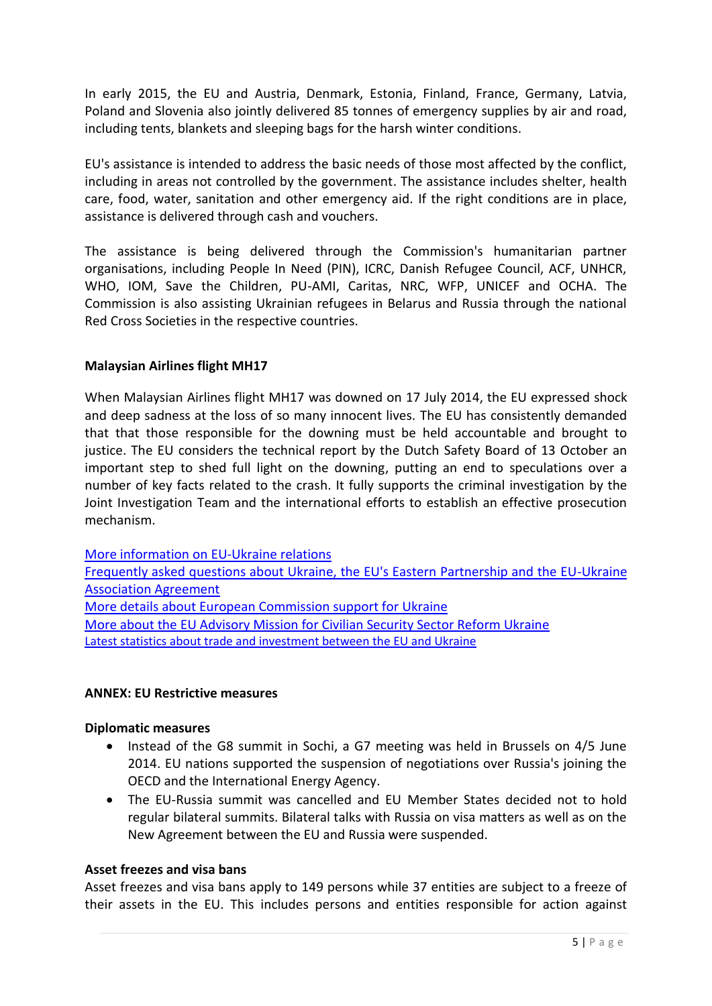In early 2015, the EU and Austria, Denmark, Estonia, Finland, France, Germany, Latvia, Poland and Slovenia also jointly delivered 85 tonnes of emergency supplies by air and road, including tents, blankets and sleeping bags for the harsh winter conditions.

EU's assistance is intended to address the basic needs of those most affected by the conflict, including in areas not controlled by the government. The assistance includes shelter, health care, food, water, sanitation and other emergency aid. If the right conditions are in place, assistance is delivered through cash and vouchers.

The assistance is being delivered through the Commission's humanitarian partner organisations, including People In Need (PIN), ICRC, Danish Refugee Council, ACF, UNHCR, WHO, IOM, Save the Children, PU-AMI, Caritas, NRC, WFP, UNICEF and OCHA. The Commission is also assisting Ukrainian refugees in Belarus and Russia through the national Red Cross Societies in the respective countries.

### **Malaysian Airlines flight MH17**

When Malaysian Airlines flight MH17 was downed on 17 July 2014, the EU expressed shock and deep sadness at the loss of so many innocent lives. The EU has consistently demanded that that those responsible for the downing must be held accountable and brought to justice. The EU considers the technical report by the Dutch Safety Board of 13 October an important step to shed full light on the downing, putting an end to speculations over a number of key facts related to the crash. It fully supports the criminal investigation by the Joint Investigation Team and the international efforts to establish an effective prosecution mechanism.

[More information on EU-Ukraine relations](http://www.eeas.europa.eu/ukraine/)

[Frequently asked questions about Ukraine, the EU's Eastern Partnership and the EU-Ukraine](http://www.eeas.europa.eu/statements/docs/2014/140612_01_en.pdf)  [Association Agreement](http://www.eeas.europa.eu/statements/docs/2014/140612_01_en.pdf) [More details about European Commission support for Ukraine](http://europa.eu/rapid/press-release_MEMO-15-4863_en.htm)

[More about the EU Advisory Mission for Civilian Security Sector Reform Ukraine](http://www.euam-ukraine.eu/) [Latest statistics about trade and investment between](http://ec.europa.eu/trade/policy/countries-and-regions/countries/ukraine/) the EU and Ukraine

#### **ANNEX: EU Restrictive measures**

#### **Diplomatic measures**

- Instead of the G8 summit in Sochi, a G7 meeting was held in Brussels on 4/5 June 2014. EU nations supported the suspension of negotiations over Russia's joining the OECD and the International Energy Agency.
- The EU-Russia summit was cancelled and EU Member States decided not to hold regular bilateral summits. Bilateral talks with Russia on visa matters as well as on the New Agreement between the EU and Russia were suspended.

#### **Asset freezes and visa bans**

Asset freezes and visa bans apply to 149 persons while 37 entities are subject to a freeze of their assets in the EU. This includes persons and entities responsible for action against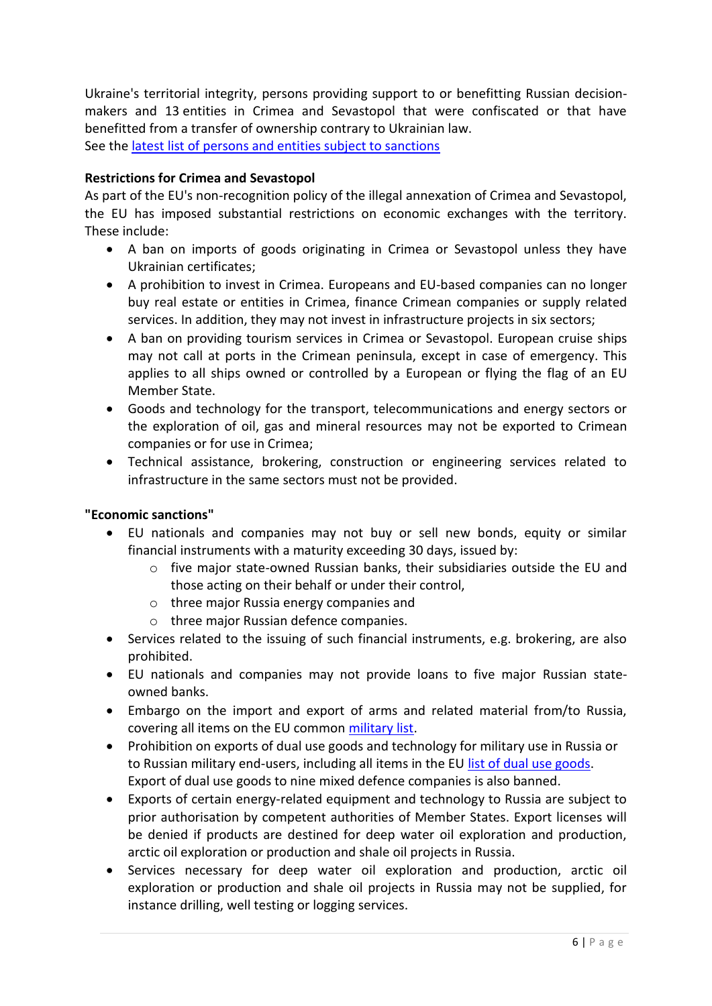Ukraine's territorial integrity, persons providing support to or benefitting Russian decisionmakers and 13 entities in Crimea and Sevastopol that were confiscated or that have benefitted from a transfer of ownership contrary to Ukrainian law. See the [latest list of persons and entities subject to sanctions](http://www.consilium.europa.eu/en/press/press-releases/2015/09/pdf/150915-sanctions-table---Persons--and-entities_pdf/)

## **Restrictions for Crimea and Sevastopol**

As part of the EU's non-recognition policy of the illegal annexation of Crimea and Sevastopol, the EU has imposed substantial restrictions on economic exchanges with the territory. These include:

- A ban on imports of goods originating in Crimea or Sevastopol unless they have Ukrainian certificates;
- A prohibition to invest in Crimea. Europeans and EU-based companies can no longer buy real estate or entities in Crimea, finance Crimean companies or supply related services. In addition, they may not invest in infrastructure projects in six sectors;
- A ban on providing tourism services in Crimea or Sevastopol. European cruise ships may not call at ports in the Crimean peninsula, except in case of emergency. This applies to all ships owned or controlled by a European or flying the flag of an EU Member State.
- Goods and technology for the transport, telecommunications and energy sectors or the exploration of oil, gas and mineral resources may not be exported to Crimean companies or for use in Crimea;
- Technical assistance, brokering, construction or engineering services related to infrastructure in the same sectors must not be provided.

#### **"Economic sanctions"**

- EU nationals and companies may not buy or sell new bonds, equity or similar financial instruments with a maturity exceeding 30 days, issued by:
	- o five major state-owned Russian banks, their subsidiaries outside the EU and those acting on their behalf or under their control,
	- o three major Russia energy companies and
	- o three major Russian defence companies.
- Services related to the issuing of such financial instruments, e.g. brokering, are also prohibited.
- EU nationals and companies may not provide loans to five major Russian stateowned banks.
- Embargo on the import and export of arms and related material from/to Russia, covering all items on the EU common [military list.](http://eur-lex.europa.eu/legal-content/EN/TXT/PDF/?uri=CELEX:52014XG0409%2801%29&from=EN)
- Prohibition on exports of dual use goods and technology for military use in Russia or to Russian military end-users, including all items in the EU [list of dual use goods.](http://eur-lex.europa.eu/legal-content/EN/TXT/?qid=1406553915752&uri=CELEX:02009R0428-20140702) Export of dual use goods to nine mixed defence companies is also banned.
- Exports of certain energy-related equipment and technology to Russia are subject to prior authorisation by competent authorities of Member States. Export licenses will be denied if products are destined for deep water oil exploration and production, arctic oil exploration or production and shale oil projects in Russia.
- Services necessary for deep water oil exploration and production, arctic oil exploration or production and shale oil projects in Russia may not be supplied, for instance drilling, well testing or logging services.